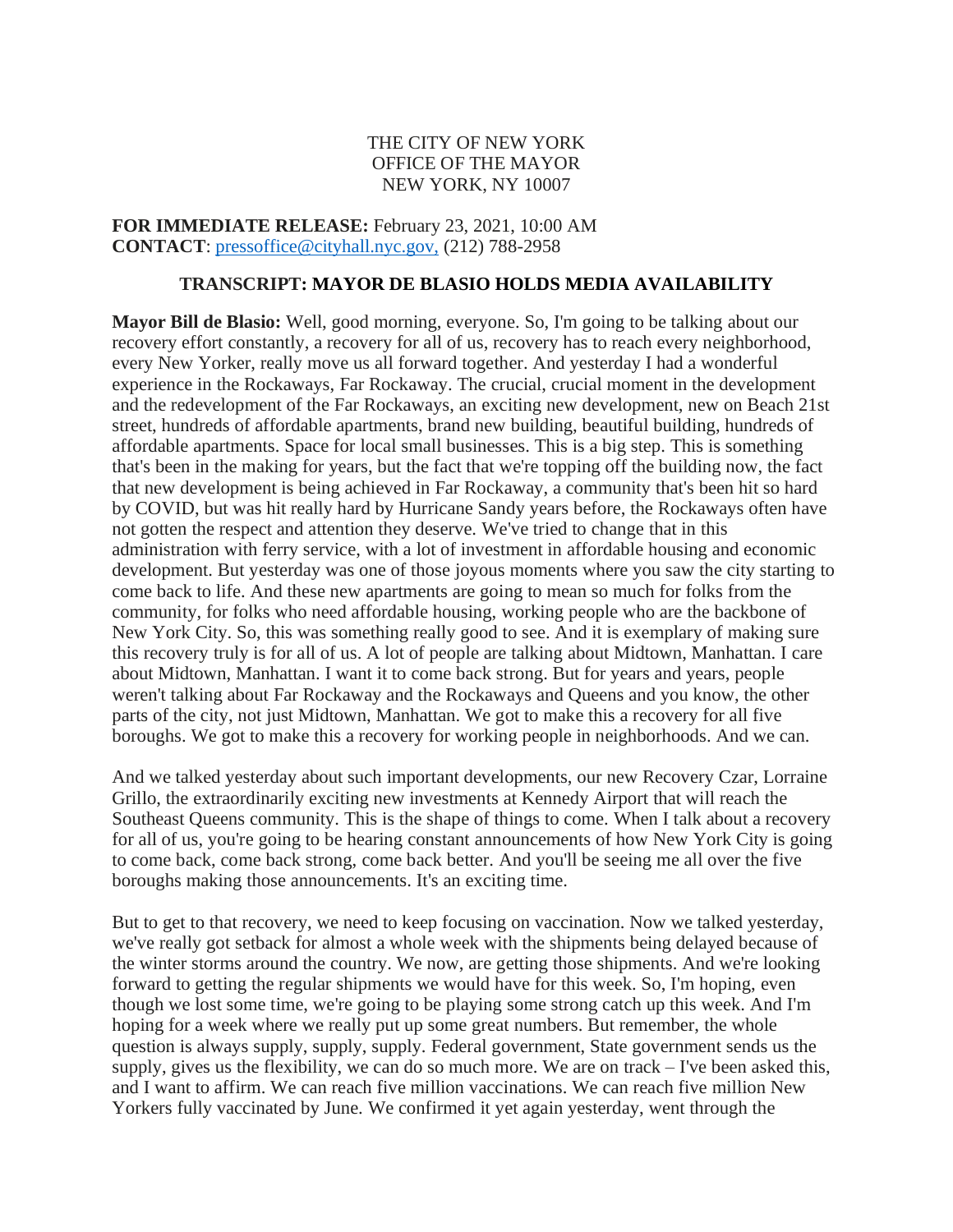# THE CITY OF NEW YORK OFFICE OF THE MAYOR NEW YORK, NY 10007

**FOR IMMEDIATE RELEASE:** February 23, 2021, 10:00 AM **CONTACT**: [pressoffice@cityhall.nyc.gov,](mailto:pressoffice@cityhall.nyc.gov) (212) 788-2958

### **TRANSCRIPT: MAYOR DE BLASIO HOLDS MEDIA AVAILABILITY**

**Mayor Bill de Blasio:** Well, good morning, everyone. So, I'm going to be talking about our recovery effort constantly, a recovery for all of us, recovery has to reach every neighborhood, every New Yorker, really move us all forward together. And yesterday I had a wonderful experience in the Rockaways, Far Rockaway. The crucial, crucial moment in the development and the redevelopment of the Far Rockaways, an exciting new development, new on Beach 21st street, hundreds of affordable apartments, brand new building, beautiful building, hundreds of affordable apartments. Space for local small businesses. This is a big step. This is something that's been in the making for years, but the fact that we're topping off the building now, the fact that new development is being achieved in Far Rockaway, a community that's been hit so hard by COVID, but was hit really hard by Hurricane Sandy years before, the Rockaways often have not gotten the respect and attention they deserve. We've tried to change that in this administration with ferry service, with a lot of investment in affordable housing and economic development. But yesterday was one of those joyous moments where you saw the city starting to come back to life. And these new apartments are going to mean so much for folks from the community, for folks who need affordable housing, working people who are the backbone of New York City. So, this was something really good to see. And it is exemplary of making sure this recovery truly is for all of us. A lot of people are talking about Midtown, Manhattan. I care about Midtown, Manhattan. I want it to come back strong. But for years and years, people weren't talking about Far Rockaway and the Rockaways and Queens and you know, the other parts of the city, not just Midtown, Manhattan. We got to make this a recovery for all five boroughs. We got to make this a recovery for working people in neighborhoods. And we can.

And we talked yesterday about such important developments, our new Recovery Czar, Lorraine Grillo, the extraordinarily exciting new investments at Kennedy Airport that will reach the Southeast Queens community. This is the shape of things to come. When I talk about a recovery for all of us, you're going to be hearing constant announcements of how New York City is going to come back, come back strong, come back better. And you'll be seeing me all over the five boroughs making those announcements. It's an exciting time.

But to get to that recovery, we need to keep focusing on vaccination. Now we talked yesterday, we've really got setback for almost a whole week with the shipments being delayed because of the winter storms around the country. We now, are getting those shipments. And we're looking forward to getting the regular shipments we would have for this week. So, I'm hoping, even though we lost some time, we're going to be playing some strong catch up this week. And I'm hoping for a week where we really put up some great numbers. But remember, the whole question is always supply, supply, supply. Federal government, State government sends us the supply, gives us the flexibility, we can do so much more. We are on track – I've been asked this, and I want to affirm. We can reach five million vaccinations. We can reach five million New Yorkers fully vaccinated by June. We confirmed it yet again yesterday, went through the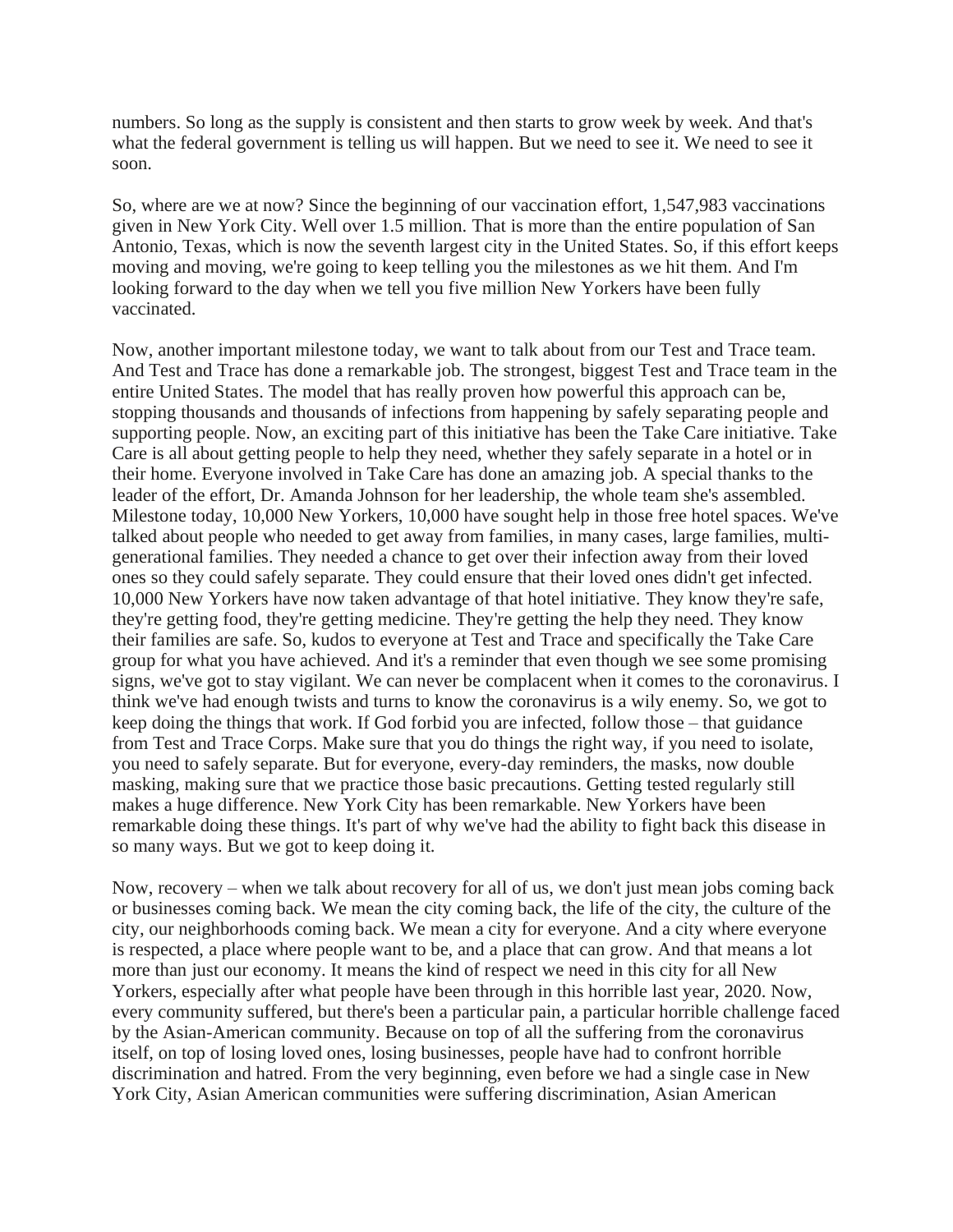numbers. So long as the supply is consistent and then starts to grow week by week. And that's what the federal government is telling us will happen. But we need to see it. We need to see it soon.

So, where are we at now? Since the beginning of our vaccination effort, 1,547,983 vaccinations given in New York City. Well over 1.5 million. That is more than the entire population of San Antonio, Texas, which is now the seventh largest city in the United States. So, if this effort keeps moving and moving, we're going to keep telling you the milestones as we hit them. And I'm looking forward to the day when we tell you five million New Yorkers have been fully vaccinated.

Now, another important milestone today, we want to talk about from our Test and Trace team. And Test and Trace has done a remarkable job. The strongest, biggest Test and Trace team in the entire United States. The model that has really proven how powerful this approach can be, stopping thousands and thousands of infections from happening by safely separating people and supporting people. Now, an exciting part of this initiative has been the Take Care initiative. Take Care is all about getting people to help they need, whether they safely separate in a hotel or in their home. Everyone involved in Take Care has done an amazing job. A special thanks to the leader of the effort, Dr. Amanda Johnson for her leadership, the whole team she's assembled. Milestone today, 10,000 New Yorkers, 10,000 have sought help in those free hotel spaces. We've talked about people who needed to get away from families, in many cases, large families, multigenerational families. They needed a chance to get over their infection away from their loved ones so they could safely separate. They could ensure that their loved ones didn't get infected. 10,000 New Yorkers have now taken advantage of that hotel initiative. They know they're safe, they're getting food, they're getting medicine. They're getting the help they need. They know their families are safe. So, kudos to everyone at Test and Trace and specifically the Take Care group for what you have achieved. And it's a reminder that even though we see some promising signs, we've got to stay vigilant. We can never be complacent when it comes to the coronavirus. I think we've had enough twists and turns to know the coronavirus is a wily enemy. So, we got to keep doing the things that work. If God forbid you are infected, follow those – that guidance from Test and Trace Corps. Make sure that you do things the right way, if you need to isolate, you need to safely separate. But for everyone, every-day reminders, the masks, now double masking, making sure that we practice those basic precautions. Getting tested regularly still makes a huge difference. New York City has been remarkable. New Yorkers have been remarkable doing these things. It's part of why we've had the ability to fight back this disease in so many ways. But we got to keep doing it.

Now, recovery – when we talk about recovery for all of us, we don't just mean jobs coming back or businesses coming back. We mean the city coming back, the life of the city, the culture of the city, our neighborhoods coming back. We mean a city for everyone. And a city where everyone is respected, a place where people want to be, and a place that can grow. And that means a lot more than just our economy. It means the kind of respect we need in this city for all New Yorkers, especially after what people have been through in this horrible last year, 2020. Now, every community suffered, but there's been a particular pain, a particular horrible challenge faced by the Asian-American community. Because on top of all the suffering from the coronavirus itself, on top of losing loved ones, losing businesses, people have had to confront horrible discrimination and hatred. From the very beginning, even before we had a single case in New York City, Asian American communities were suffering discrimination, Asian American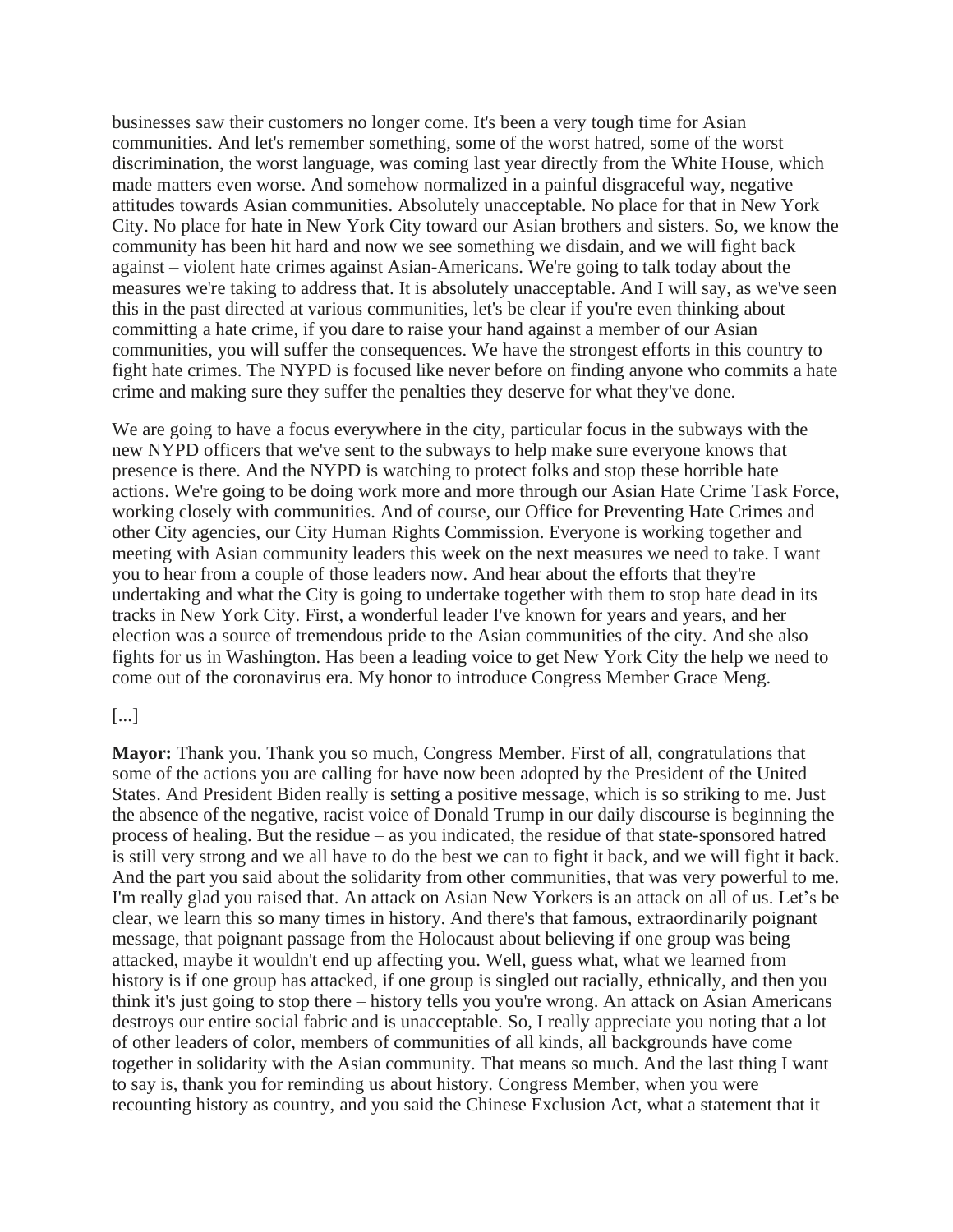businesses saw their customers no longer come. It's been a very tough time for Asian communities. And let's remember something, some of the worst hatred, some of the worst discrimination, the worst language, was coming last year directly from the White House, which made matters even worse. And somehow normalized in a painful disgraceful way, negative attitudes towards Asian communities. Absolutely unacceptable. No place for that in New York City. No place for hate in New York City toward our Asian brothers and sisters. So, we know the community has been hit hard and now we see something we disdain, and we will fight back against – violent hate crimes against Asian-Americans. We're going to talk today about the measures we're taking to address that. It is absolutely unacceptable. And I will say, as we've seen this in the past directed at various communities, let's be clear if you're even thinking about committing a hate crime, if you dare to raise your hand against a member of our Asian communities, you will suffer the consequences. We have the strongest efforts in this country to fight hate crimes. The NYPD is focused like never before on finding anyone who commits a hate crime and making sure they suffer the penalties they deserve for what they've done.

We are going to have a focus everywhere in the city, particular focus in the subways with the new NYPD officers that we've sent to the subways to help make sure everyone knows that presence is there. And the NYPD is watching to protect folks and stop these horrible hate actions. We're going to be doing work more and more through our Asian Hate Crime Task Force, working closely with communities. And of course, our Office for Preventing Hate Crimes and other City agencies, our City Human Rights Commission. Everyone is working together and meeting with Asian community leaders this week on the next measures we need to take. I want you to hear from a couple of those leaders now. And hear about the efforts that they're undertaking and what the City is going to undertake together with them to stop hate dead in its tracks in New York City. First, a wonderful leader I've known for years and years, and her election was a source of tremendous pride to the Asian communities of the city. And she also fights for us in Washington. Has been a leading voice to get New York City the help we need to come out of the coronavirus era. My honor to introduce Congress Member Grace Meng.

#### [...]

**Mayor:** Thank you. Thank you so much, Congress Member. First of all, congratulations that some of the actions you are calling for have now been adopted by the President of the United States. And President Biden really is setting a positive message, which is so striking to me. Just the absence of the negative, racist voice of Donald Trump in our daily discourse is beginning the process of healing. But the residue – as you indicated, the residue of that state-sponsored hatred is still very strong and we all have to do the best we can to fight it back, and we will fight it back. And the part you said about the solidarity from other communities, that was very powerful to me. I'm really glad you raised that. An attack on Asian New Yorkers is an attack on all of us. Let's be clear, we learn this so many times in history. And there's that famous, extraordinarily poignant message, that poignant passage from the Holocaust about believing if one group was being attacked, maybe it wouldn't end up affecting you. Well, guess what, what we learned from history is if one group has attacked, if one group is singled out racially, ethnically, and then you think it's just going to stop there – history tells you you're wrong. An attack on Asian Americans destroys our entire social fabric and is unacceptable. So, I really appreciate you noting that a lot of other leaders of color, members of communities of all kinds, all backgrounds have come together in solidarity with the Asian community. That means so much. And the last thing I want to say is, thank you for reminding us about history. Congress Member, when you were recounting history as country, and you said the Chinese Exclusion Act, what a statement that it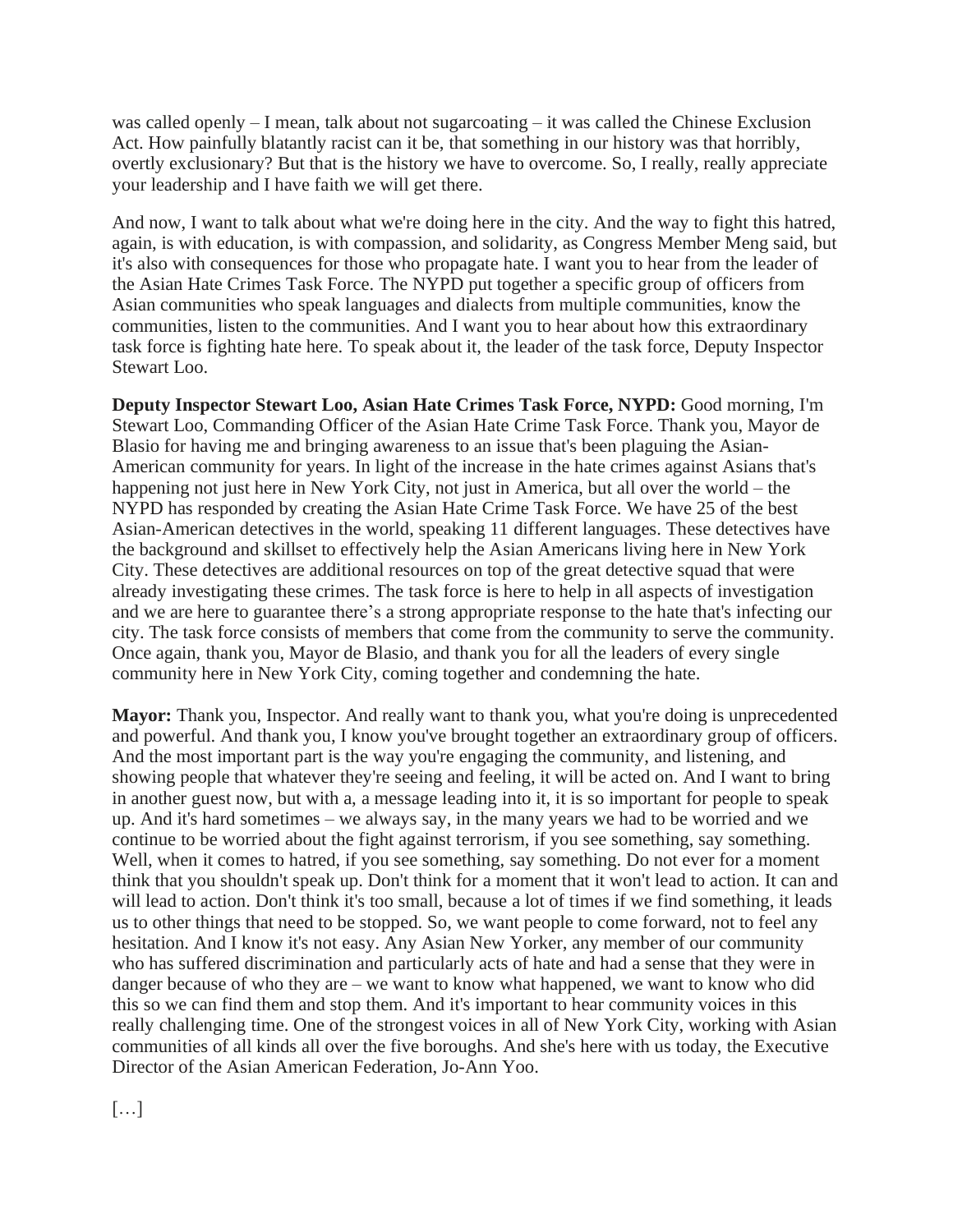was called openly – I mean, talk about not sugarcoating – it was called the Chinese Exclusion Act. How painfully blatantly racist can it be, that something in our history was that horribly, overtly exclusionary? But that is the history we have to overcome. So, I really, really appreciate your leadership and I have faith we will get there.

And now, I want to talk about what we're doing here in the city. And the way to fight this hatred, again, is with education, is with compassion, and solidarity, as Congress Member Meng said, but it's also with consequences for those who propagate hate. I want you to hear from the leader of the Asian Hate Crimes Task Force. The NYPD put together a specific group of officers from Asian communities who speak languages and dialects from multiple communities, know the communities, listen to the communities. And I want you to hear about how this extraordinary task force is fighting hate here. To speak about it, the leader of the task force, Deputy Inspector Stewart Loo.

**Deputy Inspector Stewart Loo, Asian Hate Crimes Task Force, NYPD:** Good morning, I'm Stewart Loo, Commanding Officer of the Asian Hate Crime Task Force. Thank you, Mayor de Blasio for having me and bringing awareness to an issue that's been plaguing the Asian-American community for years. In light of the increase in the hate crimes against Asians that's happening not just here in New York City, not just in America, but all over the world – the NYPD has responded by creating the Asian Hate Crime Task Force. We have 25 of the best Asian-American detectives in the world, speaking 11 different languages. These detectives have the background and skillset to effectively help the Asian Americans living here in New York City. These detectives are additional resources on top of the great detective squad that were already investigating these crimes. The task force is here to help in all aspects of investigation and we are here to guarantee there's a strong appropriate response to the hate that's infecting our city. The task force consists of members that come from the community to serve the community. Once again, thank you, Mayor de Blasio, and thank you for all the leaders of every single community here in New York City, coming together and condemning the hate.

**Mayor:** Thank you, Inspector. And really want to thank you, what you're doing is unprecedented and powerful. And thank you, I know you've brought together an extraordinary group of officers. And the most important part is the way you're engaging the community, and listening, and showing people that whatever they're seeing and feeling, it will be acted on. And I want to bring in another guest now, but with a, a message leading into it, it is so important for people to speak up. And it's hard sometimes – we always say, in the many years we had to be worried and we continue to be worried about the fight against terrorism, if you see something, say something. Well, when it comes to hatred, if you see something, say something. Do not ever for a moment think that you shouldn't speak up. Don't think for a moment that it won't lead to action. It can and will lead to action. Don't think it's too small, because a lot of times if we find something, it leads us to other things that need to be stopped. So, we want people to come forward, not to feel any hesitation. And I know it's not easy. Any Asian New Yorker, any member of our community who has suffered discrimination and particularly acts of hate and had a sense that they were in danger because of who they are – we want to know what happened, we want to know who did this so we can find them and stop them. And it's important to hear community voices in this really challenging time. One of the strongest voices in all of New York City, working with Asian communities of all kinds all over the five boroughs. And she's here with us today, the Executive Director of the Asian American Federation, Jo-Ann Yoo.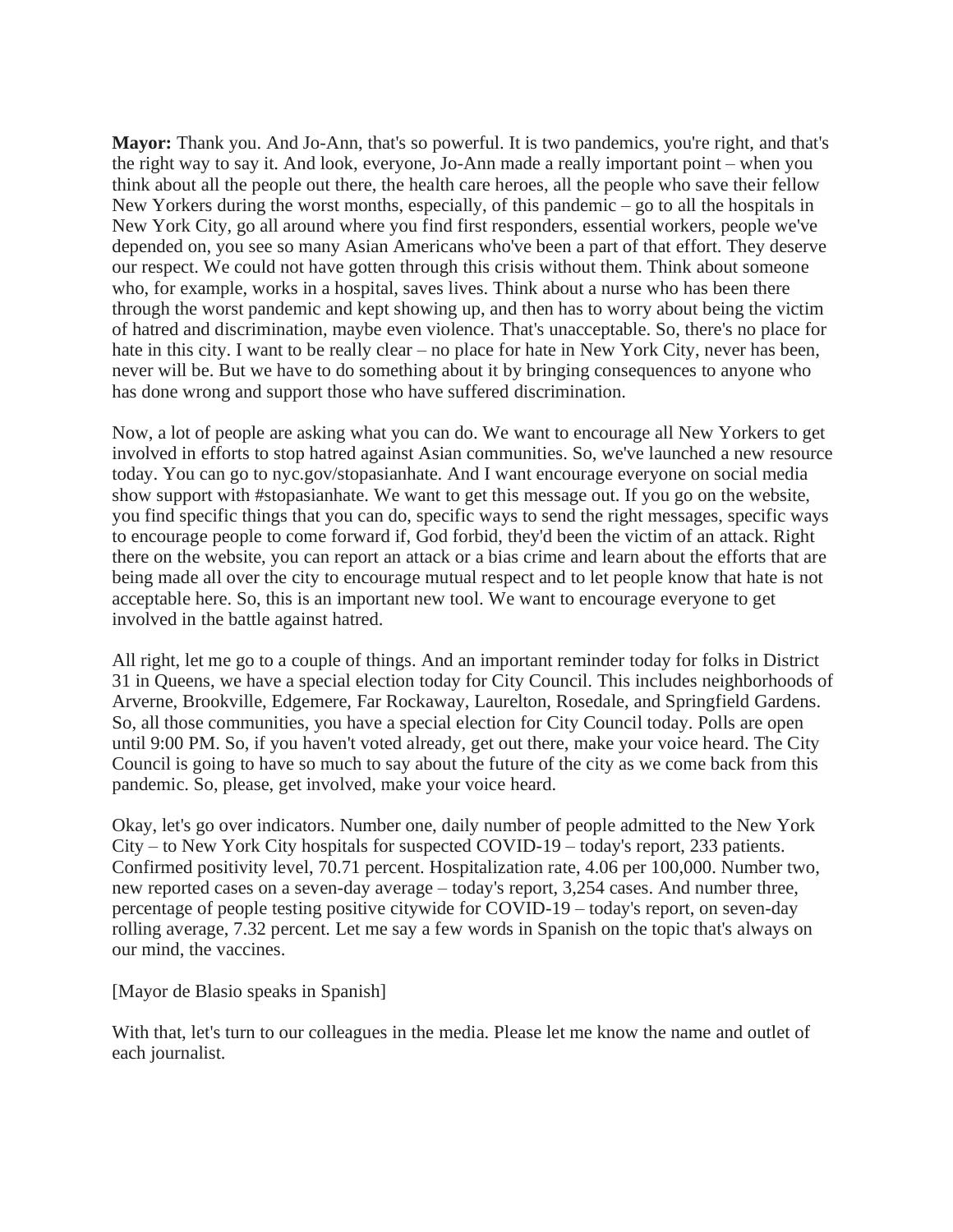**Mayor:** Thank you. And Jo-Ann, that's so powerful. It is two pandemics, you're right, and that's the right way to say it. And look, everyone, Jo-Ann made a really important point – when you think about all the people out there, the health care heroes, all the people who save their fellow New Yorkers during the worst months, especially, of this pandemic – go to all the hospitals in New York City, go all around where you find first responders, essential workers, people we've depended on, you see so many Asian Americans who've been a part of that effort. They deserve our respect. We could not have gotten through this crisis without them. Think about someone who, for example, works in a hospital, saves lives. Think about a nurse who has been there through the worst pandemic and kept showing up, and then has to worry about being the victim of hatred and discrimination, maybe even violence. That's unacceptable. So, there's no place for hate in this city. I want to be really clear – no place for hate in New York City, never has been, never will be. But we have to do something about it by bringing consequences to anyone who has done wrong and support those who have suffered discrimination.

Now, a lot of people are asking what you can do. We want to encourage all New Yorkers to get involved in efforts to stop hatred against Asian communities. So, we've launched a new resource today. You can go to nyc.gov/stopasianhate. And I want encourage everyone on social media show support with #stopasianhate. We want to get this message out. If you go on the website, you find specific things that you can do, specific ways to send the right messages, specific ways to encourage people to come forward if, God forbid, they'd been the victim of an attack. Right there on the website, you can report an attack or a bias crime and learn about the efforts that are being made all over the city to encourage mutual respect and to let people know that hate is not acceptable here. So, this is an important new tool. We want to encourage everyone to get involved in the battle against hatred.

All right, let me go to a couple of things. And an important reminder today for folks in District 31 in Queens, we have a special election today for City Council. This includes neighborhoods of Arverne, Brookville, Edgemere, Far Rockaway, Laurelton, Rosedale, and Springfield Gardens. So, all those communities, you have a special election for City Council today. Polls are open until 9:00 PM. So, if you haven't voted already, get out there, make your voice heard. The City Council is going to have so much to say about the future of the city as we come back from this pandemic. So, please, get involved, make your voice heard.

Okay, let's go over indicators. Number one, daily number of people admitted to the New York City – to New York City hospitals for suspected COVID-19 – today's report, 233 patients. Confirmed positivity level, 70.71 percent. Hospitalization rate, 4.06 per 100,000. Number two, new reported cases on a seven-day average – today's report, 3,254 cases. And number three, percentage of people testing positive citywide for COVID-19 – today's report, on seven-day rolling average, 7.32 percent. Let me say a few words in Spanish on the topic that's always on our mind, the vaccines.

#### [Mayor de Blasio speaks in Spanish]

With that, let's turn to our colleagues in the media. Please let me know the name and outlet of each journalist.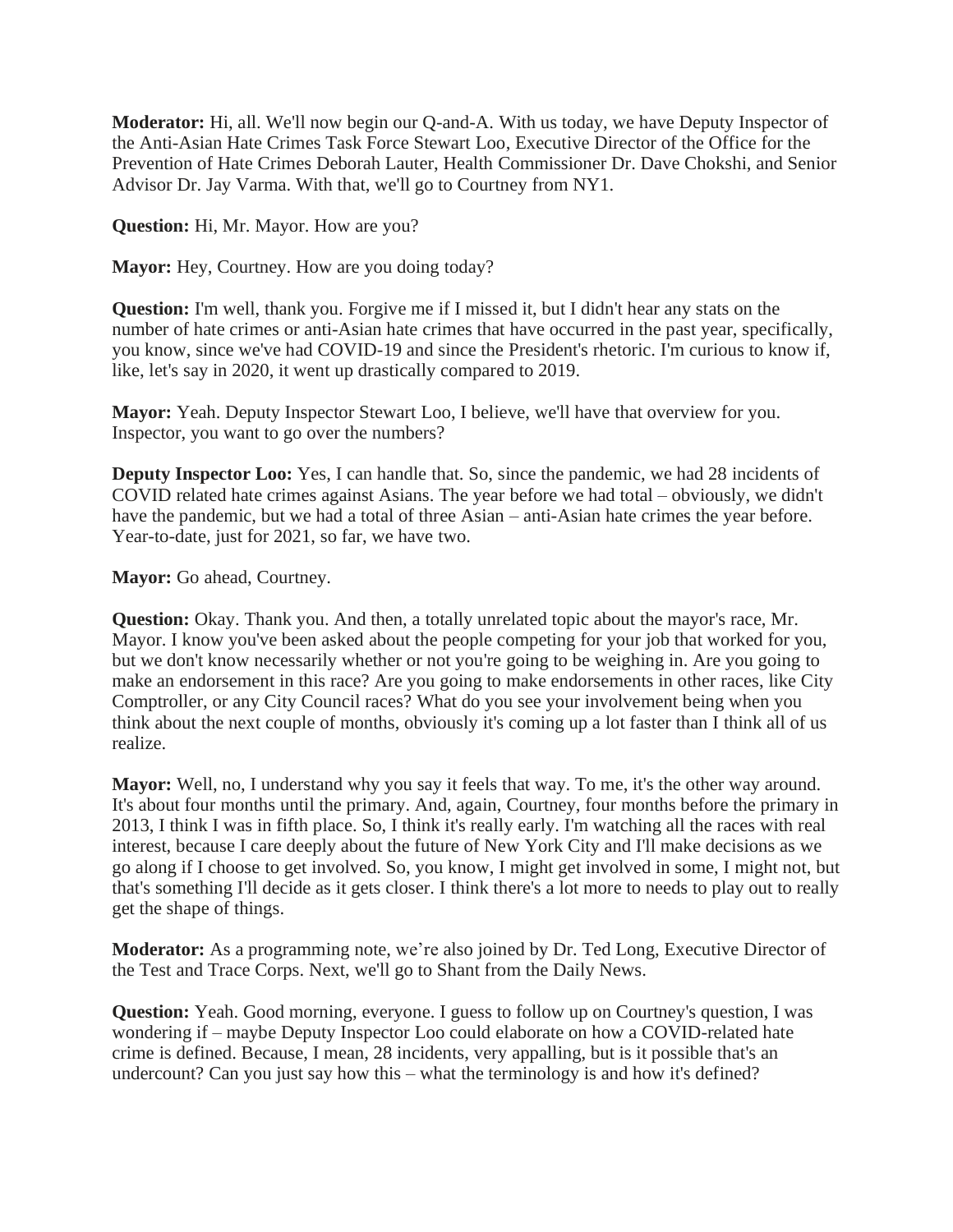**Moderator:** Hi, all. We'll now begin our Q-and-A. With us today, we have Deputy Inspector of the Anti-Asian Hate Crimes Task Force Stewart Loo, Executive Director of the Office for the Prevention of Hate Crimes Deborah Lauter, Health Commissioner Dr. Dave Chokshi, and Senior Advisor Dr. Jay Varma. With that, we'll go to Courtney from NY1.

**Question:** Hi, Mr. Mayor. How are you?

**Mayor:** Hey, Courtney. How are you doing today?

**Question:** I'm well, thank you. Forgive me if I missed it, but I didn't hear any stats on the number of hate crimes or anti-Asian hate crimes that have occurred in the past year, specifically, you know, since we've had COVID-19 and since the President's rhetoric. I'm curious to know if, like, let's say in 2020, it went up drastically compared to 2019.

**Mayor:** Yeah. Deputy Inspector Stewart Loo, I believe, we'll have that overview for you. Inspector, you want to go over the numbers?

**Deputy Inspector Loo:** Yes, I can handle that. So, since the pandemic, we had 28 incidents of COVID related hate crimes against Asians. The year before we had total – obviously, we didn't have the pandemic, but we had a total of three Asian – anti-Asian hate crimes the year before. Year-to-date, just for 2021, so far, we have two.

**Mayor:** Go ahead, Courtney.

**Question:** Okay. Thank you. And then, a totally unrelated topic about the mayor's race, Mr. Mayor. I know you've been asked about the people competing for your job that worked for you, but we don't know necessarily whether or not you're going to be weighing in. Are you going to make an endorsement in this race? Are you going to make endorsements in other races, like City Comptroller, or any City Council races? What do you see your involvement being when you think about the next couple of months, obviously it's coming up a lot faster than I think all of us realize.

**Mayor:** Well, no, I understand why you say it feels that way. To me, it's the other way around. It's about four months until the primary. And, again, Courtney, four months before the primary in 2013, I think I was in fifth place. So, I think it's really early. I'm watching all the races with real interest, because I care deeply about the future of New York City and I'll make decisions as we go along if I choose to get involved. So, you know, I might get involved in some, I might not, but that's something I'll decide as it gets closer. I think there's a lot more to needs to play out to really get the shape of things.

**Moderator:** As a programming note, we're also joined by Dr. Ted Long, Executive Director of the Test and Trace Corps. Next, we'll go to Shant from the Daily News.

**Question:** Yeah. Good morning, everyone. I guess to follow up on Courtney's question, I was wondering if – maybe Deputy Inspector Loo could elaborate on how a COVID-related hate crime is defined. Because, I mean, 28 incidents, very appalling, but is it possible that's an undercount? Can you just say how this – what the terminology is and how it's defined?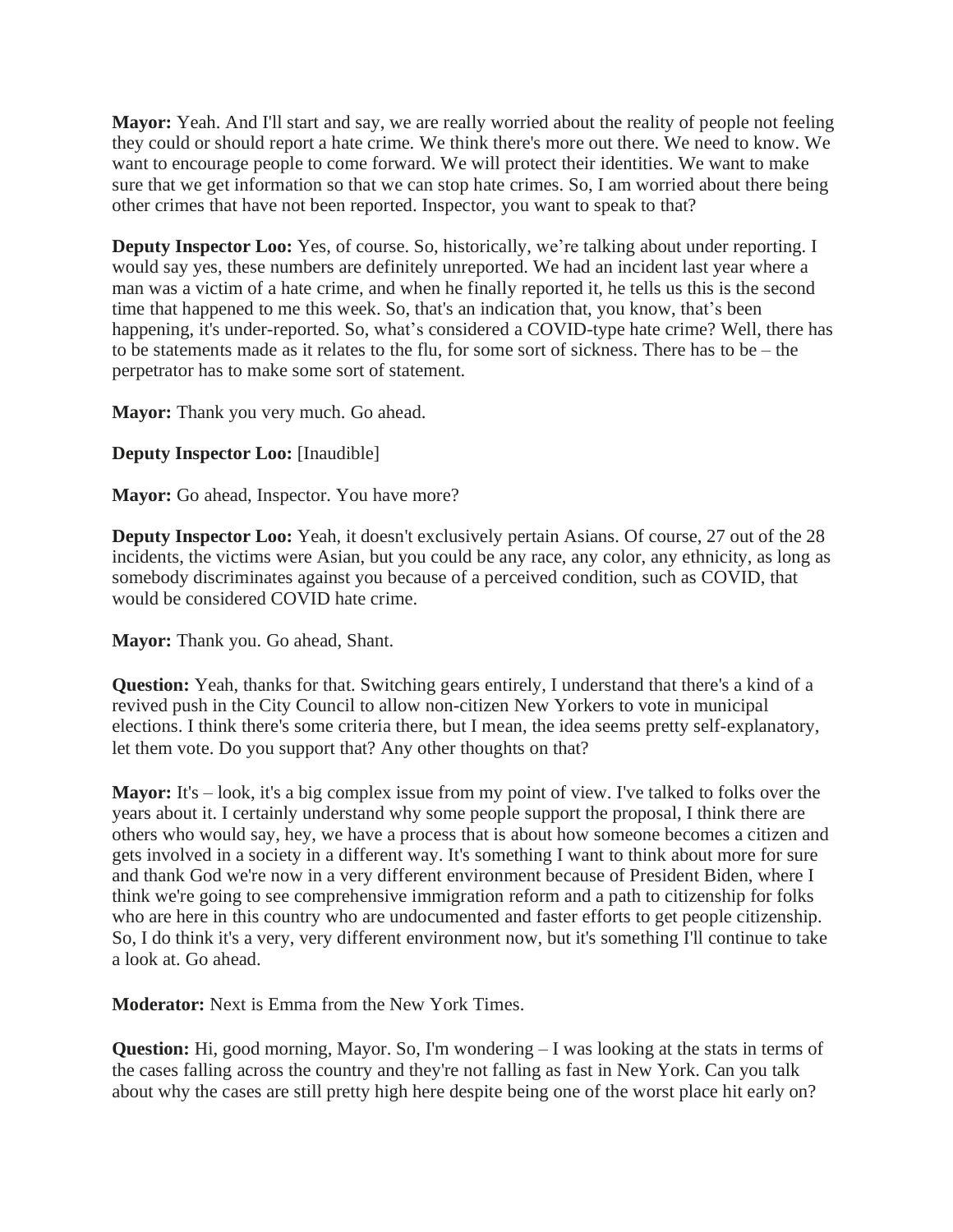**Mayor:** Yeah. And I'll start and say, we are really worried about the reality of people not feeling they could or should report a hate crime. We think there's more out there. We need to know. We want to encourage people to come forward. We will protect their identities. We want to make sure that we get information so that we can stop hate crimes. So, I am worried about there being other crimes that have not been reported. Inspector, you want to speak to that?

**Deputy Inspector Loo:** Yes, of course. So, historically, we're talking about under reporting. I would say yes, these numbers are definitely unreported. We had an incident last year where a man was a victim of a hate crime, and when he finally reported it, he tells us this is the second time that happened to me this week. So, that's an indication that, you know, that's been happening, it's under-reported. So, what's considered a COVID-type hate crime? Well, there has to be statements made as it relates to the flu, for some sort of sickness. There has to be – the perpetrator has to make some sort of statement.

**Mayor:** Thank you very much. Go ahead.

# **Deputy Inspector Loo:** [Inaudible]

**Mayor:** Go ahead, Inspector. You have more?

**Deputy Inspector Loo:** Yeah, it doesn't exclusively pertain Asians. Of course, 27 out of the 28 incidents, the victims were Asian, but you could be any race, any color, any ethnicity, as long as somebody discriminates against you because of a perceived condition, such as COVID, that would be considered COVID hate crime.

**Mayor:** Thank you. Go ahead, Shant.

**Question:** Yeah, thanks for that. Switching gears entirely, I understand that there's a kind of a revived push in the City Council to allow non-citizen New Yorkers to vote in municipal elections. I think there's some criteria there, but I mean, the idea seems pretty self-explanatory, let them vote. Do you support that? Any other thoughts on that?

**Mayor:** It's – look, it's a big complex issue from my point of view. I've talked to folks over the years about it. I certainly understand why some people support the proposal, I think there are others who would say, hey, we have a process that is about how someone becomes a citizen and gets involved in a society in a different way. It's something I want to think about more for sure and thank God we're now in a very different environment because of President Biden, where I think we're going to see comprehensive immigration reform and a path to citizenship for folks who are here in this country who are undocumented and faster efforts to get people citizenship. So, I do think it's a very, very different environment now, but it's something I'll continue to take a look at. Go ahead.

**Moderator:** Next is Emma from the New York Times.

**Question:** Hi, good morning, Mayor. So, I'm wondering – I was looking at the stats in terms of the cases falling across the country and they're not falling as fast in New York. Can you talk about why the cases are still pretty high here despite being one of the worst place hit early on?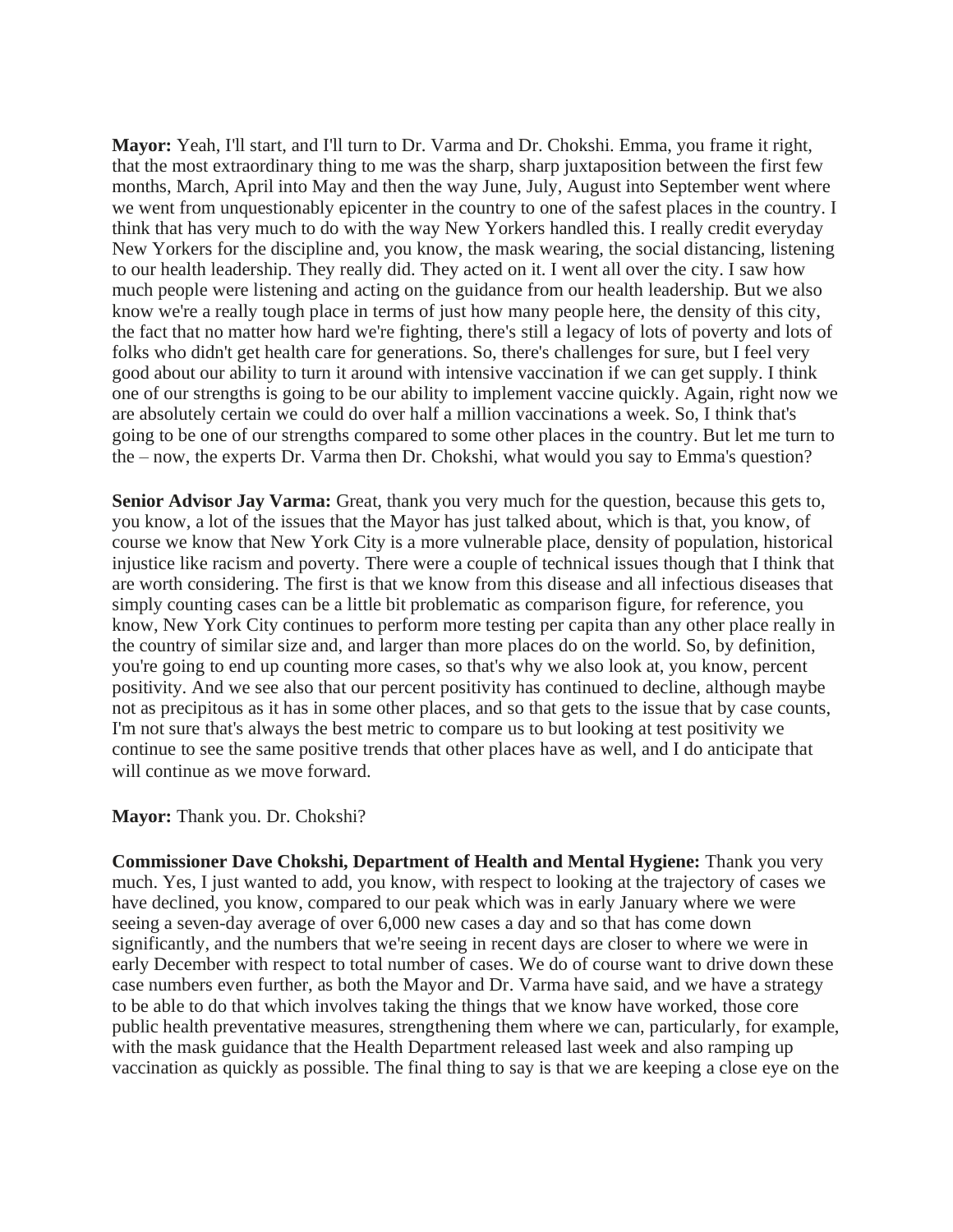**Mayor:** Yeah, I'll start, and I'll turn to Dr. Varma and Dr. Chokshi. Emma, you frame it right, that the most extraordinary thing to me was the sharp, sharp juxtaposition between the first few months, March, April into May and then the way June, July, August into September went where we went from unquestionably epicenter in the country to one of the safest places in the country. I think that has very much to do with the way New Yorkers handled this. I really credit everyday New Yorkers for the discipline and, you know, the mask wearing, the social distancing, listening to our health leadership. They really did. They acted on it. I went all over the city. I saw how much people were listening and acting on the guidance from our health leadership. But we also know we're a really tough place in terms of just how many people here, the density of this city, the fact that no matter how hard we're fighting, there's still a legacy of lots of poverty and lots of folks who didn't get health care for generations. So, there's challenges for sure, but I feel very good about our ability to turn it around with intensive vaccination if we can get supply. I think one of our strengths is going to be our ability to implement vaccine quickly. Again, right now we are absolutely certain we could do over half a million vaccinations a week. So, I think that's going to be one of our strengths compared to some other places in the country. But let me turn to the – now, the experts Dr. Varma then Dr. Chokshi, what would you say to Emma's question?

**Senior Advisor Jay Varma:** Great, thank you very much for the question, because this gets to, you know, a lot of the issues that the Mayor has just talked about, which is that, you know, of course we know that New York City is a more vulnerable place, density of population, historical injustice like racism and poverty. There were a couple of technical issues though that I think that are worth considering. The first is that we know from this disease and all infectious diseases that simply counting cases can be a little bit problematic as comparison figure, for reference, you know, New York City continues to perform more testing per capita than any other place really in the country of similar size and, and larger than more places do on the world. So, by definition, you're going to end up counting more cases, so that's why we also look at, you know, percent positivity. And we see also that our percent positivity has continued to decline, although maybe not as precipitous as it has in some other places, and so that gets to the issue that by case counts, I'm not sure that's always the best metric to compare us to but looking at test positivity we continue to see the same positive trends that other places have as well, and I do anticipate that will continue as we move forward.

#### **Mayor:** Thank you. Dr. Chokshi?

**Commissioner Dave Chokshi, Department of Health and Mental Hygiene:** Thank you very much. Yes, I just wanted to add, you know, with respect to looking at the trajectory of cases we have declined, you know, compared to our peak which was in early January where we were seeing a seven-day average of over 6,000 new cases a day and so that has come down significantly, and the numbers that we're seeing in recent days are closer to where we were in early December with respect to total number of cases. We do of course want to drive down these case numbers even further, as both the Mayor and Dr. Varma have said, and we have a strategy to be able to do that which involves taking the things that we know have worked, those core public health preventative measures, strengthening them where we can, particularly, for example, with the mask guidance that the Health Department released last week and also ramping up vaccination as quickly as possible. The final thing to say is that we are keeping a close eye on the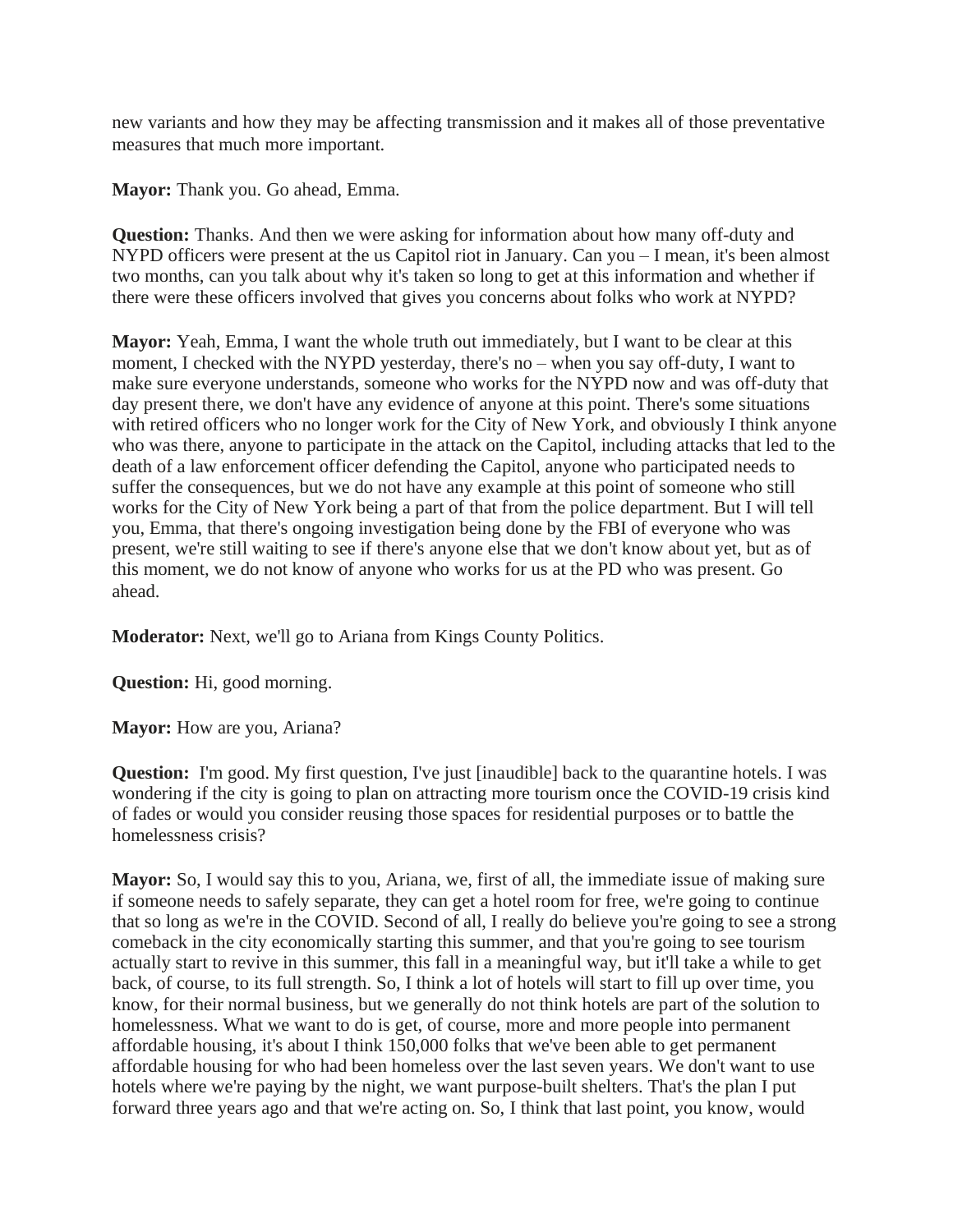new variants and how they may be affecting transmission and it makes all of those preventative measures that much more important.

**Mayor:** Thank you. Go ahead, Emma.

**Question:** Thanks. And then we were asking for information about how many off-duty and NYPD officers were present at the us Capitol riot in January. Can you – I mean, it's been almost two months, can you talk about why it's taken so long to get at this information and whether if there were these officers involved that gives you concerns about folks who work at NYPD?

**Mayor:** Yeah, Emma, I want the whole truth out immediately, but I want to be clear at this moment, I checked with the NYPD yesterday, there's no – when you say off-duty, I want to make sure everyone understands, someone who works for the NYPD now and was off-duty that day present there, we don't have any evidence of anyone at this point. There's some situations with retired officers who no longer work for the City of New York, and obviously I think anyone who was there, anyone to participate in the attack on the Capitol, including attacks that led to the death of a law enforcement officer defending the Capitol, anyone who participated needs to suffer the consequences, but we do not have any example at this point of someone who still works for the City of New York being a part of that from the police department. But I will tell you, Emma, that there's ongoing investigation being done by the FBI of everyone who was present, we're still waiting to see if there's anyone else that we don't know about yet, but as of this moment, we do not know of anyone who works for us at the PD who was present. Go ahead.

**Moderator:** Next, we'll go to Ariana from Kings County Politics.

**Question:** Hi, good morning.

**Mayor:** How are you, Ariana?

**Question:** I'm good. My first question, I've just [inaudible] back to the quarantine hotels. I was wondering if the city is going to plan on attracting more tourism once the COVID-19 crisis kind of fades or would you consider reusing those spaces for residential purposes or to battle the homelessness crisis?

**Mayor:** So, I would say this to you, Ariana, we, first of all, the immediate issue of making sure if someone needs to safely separate, they can get a hotel room for free, we're going to continue that so long as we're in the COVID. Second of all, I really do believe you're going to see a strong comeback in the city economically starting this summer, and that you're going to see tourism actually start to revive in this summer, this fall in a meaningful way, but it'll take a while to get back, of course, to its full strength. So, I think a lot of hotels will start to fill up over time, you know, for their normal business, but we generally do not think hotels are part of the solution to homelessness. What we want to do is get, of course, more and more people into permanent affordable housing, it's about I think 150,000 folks that we've been able to get permanent affordable housing for who had been homeless over the last seven years. We don't want to use hotels where we're paying by the night, we want purpose-built shelters. That's the plan I put forward three years ago and that we're acting on. So, I think that last point, you know, would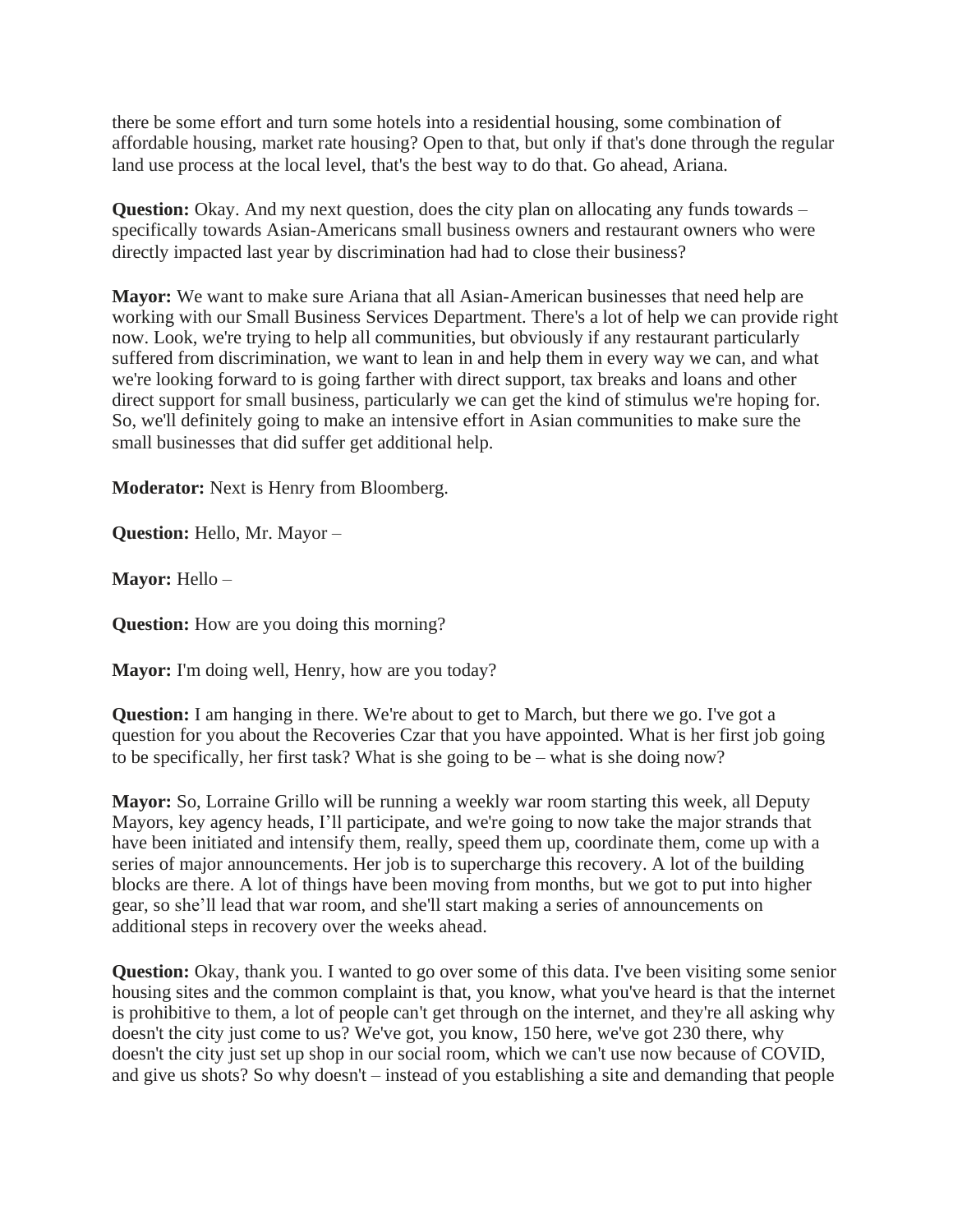there be some effort and turn some hotels into a residential housing, some combination of affordable housing, market rate housing? Open to that, but only if that's done through the regular land use process at the local level, that's the best way to do that. Go ahead, Ariana.

**Question:** Okay. And my next question, does the city plan on allocating any funds towards – specifically towards Asian-Americans small business owners and restaurant owners who were directly impacted last year by discrimination had had to close their business?

**Mayor:** We want to make sure Ariana that all Asian-American businesses that need help are working with our Small Business Services Department. There's a lot of help we can provide right now. Look, we're trying to help all communities, but obviously if any restaurant particularly suffered from discrimination, we want to lean in and help them in every way we can, and what we're looking forward to is going farther with direct support, tax breaks and loans and other direct support for small business, particularly we can get the kind of stimulus we're hoping for. So, we'll definitely going to make an intensive effort in Asian communities to make sure the small businesses that did suffer get additional help.

**Moderator:** Next is Henry from Bloomberg.

**Question:** Hello, Mr. Mayor –

**Mayor:** Hello –

**Question:** How are you doing this morning?

**Mayor:** I'm doing well, Henry, how are you today?

**Question:** I am hanging in there. We're about to get to March, but there we go. I've got a question for you about the Recoveries Czar that you have appointed. What is her first job going to be specifically, her first task? What is she going to be – what is she doing now?

**Mayor:** So, Lorraine Grillo will be running a weekly war room starting this week, all Deputy Mayors, key agency heads, I'll participate, and we're going to now take the major strands that have been initiated and intensify them, really, speed them up, coordinate them, come up with a series of major announcements. Her job is to supercharge this recovery. A lot of the building blocks are there. A lot of things have been moving from months, but we got to put into higher gear, so she'll lead that war room, and she'll start making a series of announcements on additional steps in recovery over the weeks ahead.

**Question:** Okay, thank you. I wanted to go over some of this data. I've been visiting some senior housing sites and the common complaint is that, you know, what you've heard is that the internet is prohibitive to them, a lot of people can't get through on the internet, and they're all asking why doesn't the city just come to us? We've got, you know, 150 here, we've got 230 there, why doesn't the city just set up shop in our social room, which we can't use now because of COVID, and give us shots? So why doesn't – instead of you establishing a site and demanding that people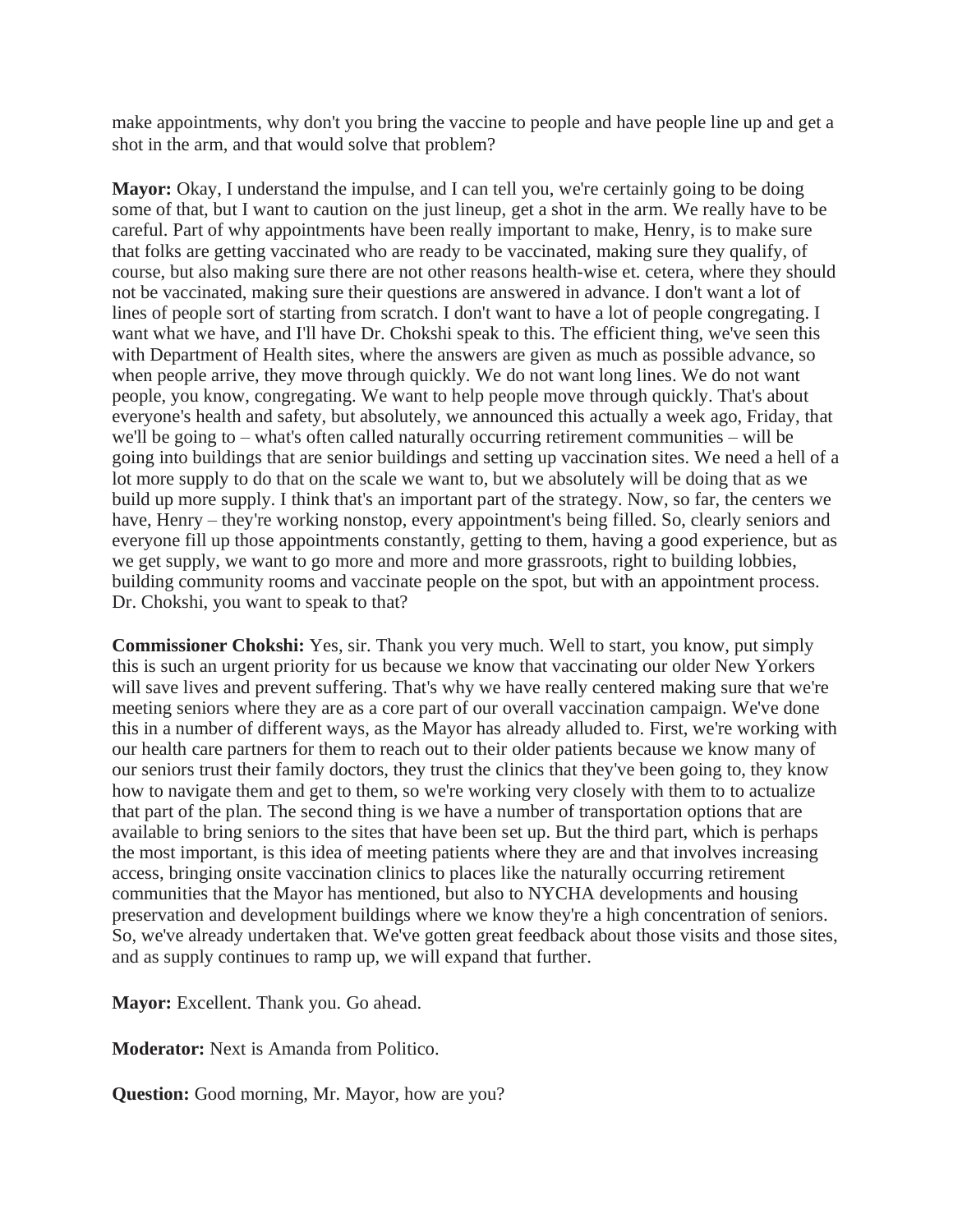make appointments, why don't you bring the vaccine to people and have people line up and get a shot in the arm, and that would solve that problem?

**Mayor:** Okay, I understand the impulse, and I can tell you, we're certainly going to be doing some of that, but I want to caution on the just lineup, get a shot in the arm. We really have to be careful. Part of why appointments have been really important to make, Henry, is to make sure that folks are getting vaccinated who are ready to be vaccinated, making sure they qualify, of course, but also making sure there are not other reasons health-wise et. cetera, where they should not be vaccinated, making sure their questions are answered in advance. I don't want a lot of lines of people sort of starting from scratch. I don't want to have a lot of people congregating. I want what we have, and I'll have Dr. Chokshi speak to this. The efficient thing, we've seen this with Department of Health sites, where the answers are given as much as possible advance, so when people arrive, they move through quickly. We do not want long lines. We do not want people, you know, congregating. We want to help people move through quickly. That's about everyone's health and safety, but absolutely, we announced this actually a week ago, Friday, that we'll be going to – what's often called naturally occurring retirement communities – will be going into buildings that are senior buildings and setting up vaccination sites. We need a hell of a lot more supply to do that on the scale we want to, but we absolutely will be doing that as we build up more supply. I think that's an important part of the strategy. Now, so far, the centers we have, Henry – they're working nonstop, every appointment's being filled. So, clearly seniors and everyone fill up those appointments constantly, getting to them, having a good experience, but as we get supply, we want to go more and more and more grassroots, right to building lobbies, building community rooms and vaccinate people on the spot, but with an appointment process. Dr. Chokshi, you want to speak to that?

**Commissioner Chokshi:** Yes, sir. Thank you very much. Well to start, you know, put simply this is such an urgent priority for us because we know that vaccinating our older New Yorkers will save lives and prevent suffering. That's why we have really centered making sure that we're meeting seniors where they are as a core part of our overall vaccination campaign. We've done this in a number of different ways, as the Mayor has already alluded to. First, we're working with our health care partners for them to reach out to their older patients because we know many of our seniors trust their family doctors, they trust the clinics that they've been going to, they know how to navigate them and get to them, so we're working very closely with them to to actualize that part of the plan. The second thing is we have a number of transportation options that are available to bring seniors to the sites that have been set up. But the third part, which is perhaps the most important, is this idea of meeting patients where they are and that involves increasing access, bringing onsite vaccination clinics to places like the naturally occurring retirement communities that the Mayor has mentioned, but also to NYCHA developments and housing preservation and development buildings where we know they're a high concentration of seniors. So, we've already undertaken that. We've gotten great feedback about those visits and those sites, and as supply continues to ramp up, we will expand that further.

**Mayor:** Excellent. Thank you. Go ahead.

**Moderator:** Next is Amanda from Politico.

**Question:** Good morning, Mr. Mayor, how are you?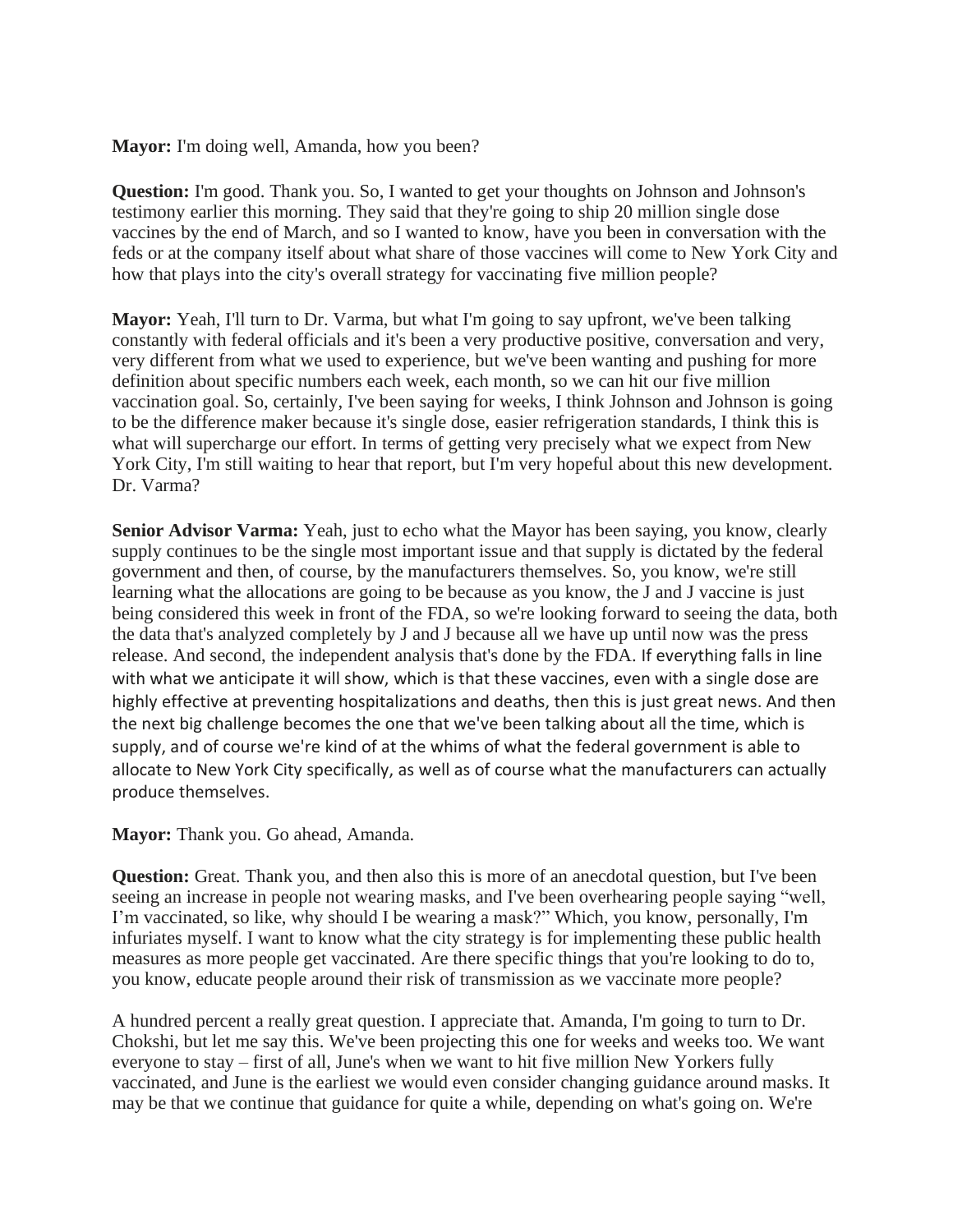**Mayor:** I'm doing well, Amanda, how you been?

**Question:** I'm good. Thank you. So, I wanted to get your thoughts on Johnson and Johnson's testimony earlier this morning. They said that they're going to ship 20 million single dose vaccines by the end of March, and so I wanted to know, have you been in conversation with the feds or at the company itself about what share of those vaccines will come to New York City and how that plays into the city's overall strategy for vaccinating five million people?

**Mayor:** Yeah, I'll turn to Dr. Varma, but what I'm going to say upfront, we've been talking constantly with federal officials and it's been a very productive positive, conversation and very, very different from what we used to experience, but we've been wanting and pushing for more definition about specific numbers each week, each month, so we can hit our five million vaccination goal. So, certainly, I've been saying for weeks, I think Johnson and Johnson is going to be the difference maker because it's single dose, easier refrigeration standards, I think this is what will supercharge our effort. In terms of getting very precisely what we expect from New York City, I'm still waiting to hear that report, but I'm very hopeful about this new development. Dr. Varma?

**Senior Advisor Varma:** Yeah, just to echo what the Mayor has been saying, you know, clearly supply continues to be the single most important issue and that supply is dictated by the federal government and then, of course, by the manufacturers themselves. So, you know, we're still learning what the allocations are going to be because as you know, the J and J vaccine is just being considered this week in front of the FDA, so we're looking forward to seeing the data, both the data that's analyzed completely by J and J because all we have up until now was the press release. And second, the independent analysis that's done by the FDA. If everything falls in line with what we anticipate it will show, which is that these vaccines, even with a single dose are highly effective at preventing hospitalizations and deaths, then this is just great news. And then the next big challenge becomes the one that we've been talking about all the time, which is supply, and of course we're kind of at the whims of what the federal government is able to allocate to New York City specifically, as well as of course what the manufacturers can actually produce themselves.

**Mayor:** Thank you. Go ahead, Amanda.

**Question:** Great. Thank you, and then also this is more of an anecdotal question, but I've been seeing an increase in people not wearing masks, and I've been overhearing people saying "well, I'm vaccinated, so like, why should I be wearing a mask?" Which, you know, personally, I'm infuriates myself. I want to know what the city strategy is for implementing these public health measures as more people get vaccinated. Are there specific things that you're looking to do to, you know, educate people around their risk of transmission as we vaccinate more people?

A hundred percent a really great question. I appreciate that. Amanda, I'm going to turn to Dr. Chokshi, but let me say this. We've been projecting this one for weeks and weeks too. We want everyone to stay – first of all, June's when we want to hit five million New Yorkers fully vaccinated, and June is the earliest we would even consider changing guidance around masks. It may be that we continue that guidance for quite a while, depending on what's going on. We're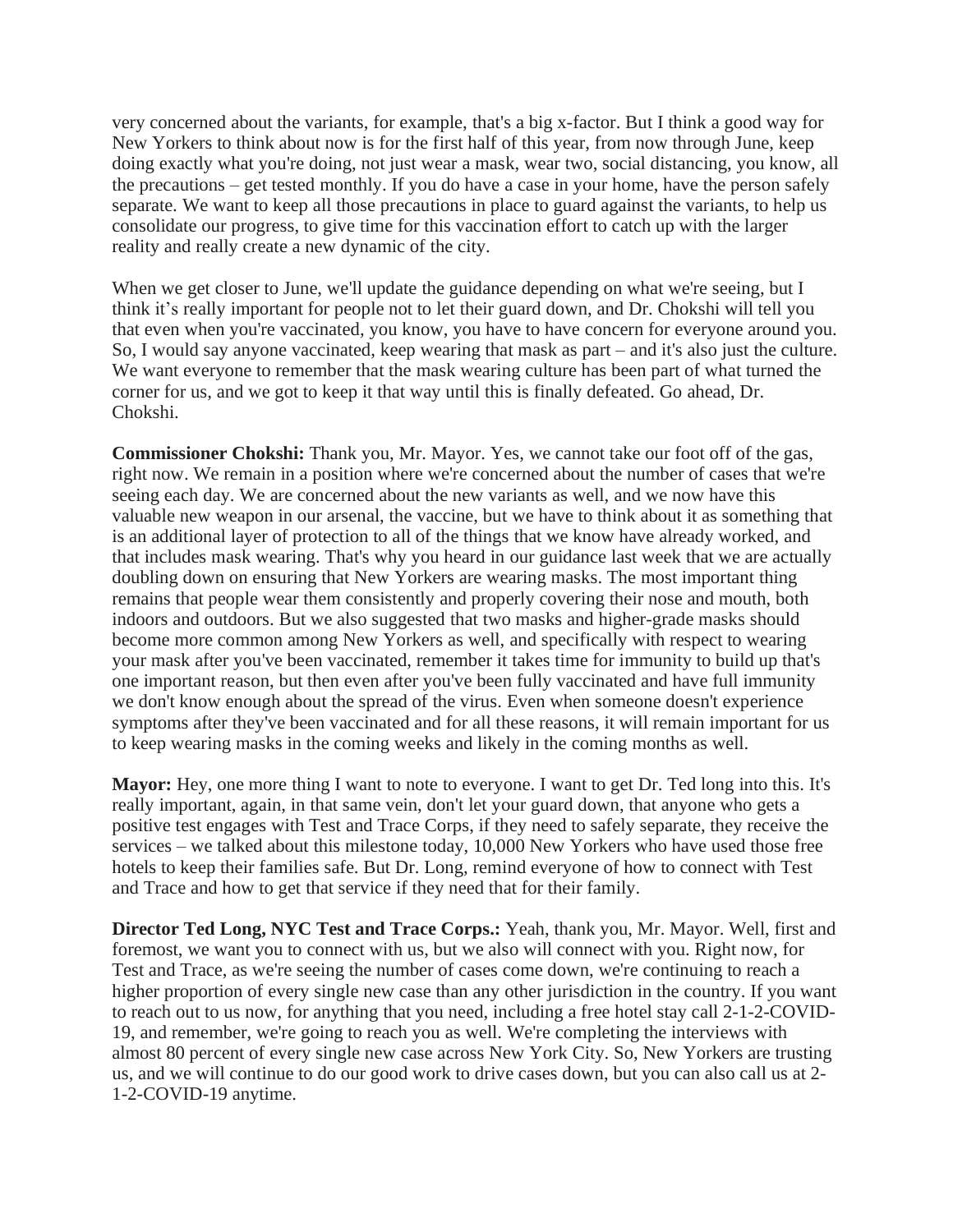very concerned about the variants, for example, that's a big x-factor. But I think a good way for New Yorkers to think about now is for the first half of this year, from now through June, keep doing exactly what you're doing, not just wear a mask, wear two, social distancing, you know, all the precautions – get tested monthly. If you do have a case in your home, have the person safely separate. We want to keep all those precautions in place to guard against the variants, to help us consolidate our progress, to give time for this vaccination effort to catch up with the larger reality and really create a new dynamic of the city.

When we get closer to June, we'll update the guidance depending on what we're seeing, but I think it's really important for people not to let their guard down, and Dr. Chokshi will tell you that even when you're vaccinated, you know, you have to have concern for everyone around you. So, I would say anyone vaccinated, keep wearing that mask as part – and it's also just the culture. We want everyone to remember that the mask wearing culture has been part of what turned the corner for us, and we got to keep it that way until this is finally defeated. Go ahead, Dr. Chokshi.

**Commissioner Chokshi:** Thank you, Mr. Mayor. Yes, we cannot take our foot off of the gas, right now. We remain in a position where we're concerned about the number of cases that we're seeing each day. We are concerned about the new variants as well, and we now have this valuable new weapon in our arsenal, the vaccine, but we have to think about it as something that is an additional layer of protection to all of the things that we know have already worked, and that includes mask wearing. That's why you heard in our guidance last week that we are actually doubling down on ensuring that New Yorkers are wearing masks. The most important thing remains that people wear them consistently and properly covering their nose and mouth, both indoors and outdoors. But we also suggested that two masks and higher-grade masks should become more common among New Yorkers as well, and specifically with respect to wearing your mask after you've been vaccinated, remember it takes time for immunity to build up that's one important reason, but then even after you've been fully vaccinated and have full immunity we don't know enough about the spread of the virus. Even when someone doesn't experience symptoms after they've been vaccinated and for all these reasons, it will remain important for us to keep wearing masks in the coming weeks and likely in the coming months as well.

**Mayor:** Hey, one more thing I want to note to everyone. I want to get Dr. Ted long into this. It's really important, again, in that same vein, don't let your guard down, that anyone who gets a positive test engages with Test and Trace Corps, if they need to safely separate, they receive the services – we talked about this milestone today, 10,000 New Yorkers who have used those free hotels to keep their families safe. But Dr. Long, remind everyone of how to connect with Test and Trace and how to get that service if they need that for their family.

**Director Ted Long, NYC Test and Trace Corps.:** Yeah, thank you, Mr. Mayor. Well, first and foremost, we want you to connect with us, but we also will connect with you. Right now, for Test and Trace, as we're seeing the number of cases come down, we're continuing to reach a higher proportion of every single new case than any other jurisdiction in the country. If you want to reach out to us now, for anything that you need, including a free hotel stay call 2-1-2-COVID-19, and remember, we're going to reach you as well. We're completing the interviews with almost 80 percent of every single new case across New York City. So, New Yorkers are trusting us, and we will continue to do our good work to drive cases down, but you can also call us at 2- 1-2-COVID-19 anytime.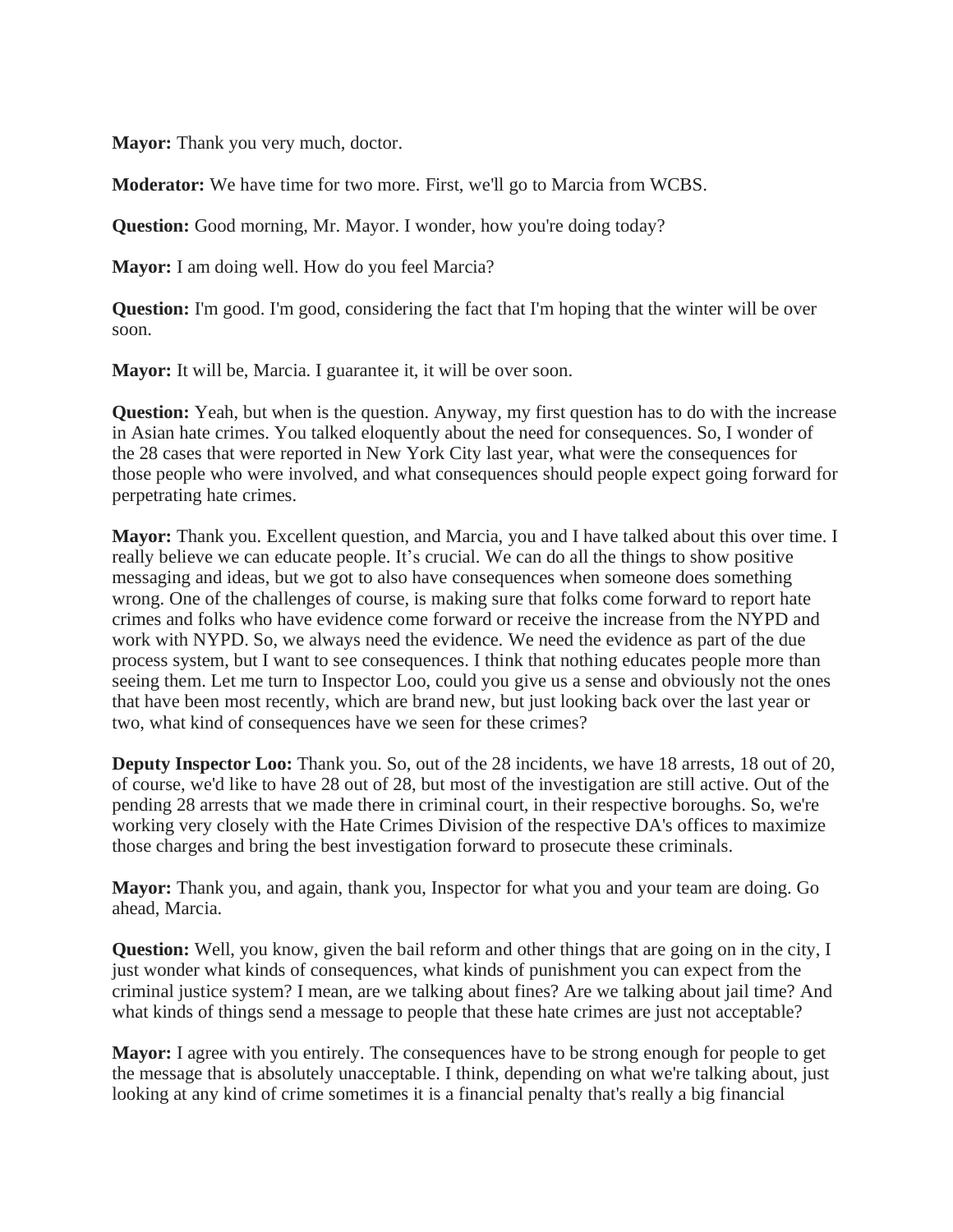**Mayor:** Thank you very much, doctor.

**Moderator:** We have time for two more. First, we'll go to Marcia from WCBS.

**Question:** Good morning, Mr. Mayor. I wonder, how you're doing today?

**Mayor:** I am doing well. How do you feel Marcia?

**Question:** I'm good. I'm good, considering the fact that I'm hoping that the winter will be over soon.

**Mayor:** It will be, Marcia. I guarantee it, it will be over soon.

**Question:** Yeah, but when is the question. Anyway, my first question has to do with the increase in Asian hate crimes. You talked eloquently about the need for consequences. So, I wonder of the 28 cases that were reported in New York City last year, what were the consequences for those people who were involved, and what consequences should people expect going forward for perpetrating hate crimes.

**Mayor:** Thank you. Excellent question, and Marcia, you and I have talked about this over time. I really believe we can educate people. It's crucial. We can do all the things to show positive messaging and ideas, but we got to also have consequences when someone does something wrong. One of the challenges of course, is making sure that folks come forward to report hate crimes and folks who have evidence come forward or receive the increase from the NYPD and work with NYPD. So, we always need the evidence. We need the evidence as part of the due process system, but I want to see consequences. I think that nothing educates people more than seeing them. Let me turn to Inspector Loo, could you give us a sense and obviously not the ones that have been most recently, which are brand new, but just looking back over the last year or two, what kind of consequences have we seen for these crimes?

**Deputy Inspector Loo:** Thank you. So, out of the 28 incidents, we have 18 arrests, 18 out of 20, of course, we'd like to have 28 out of 28, but most of the investigation are still active. Out of the pending 28 arrests that we made there in criminal court, in their respective boroughs. So, we're working very closely with the Hate Crimes Division of the respective DA's offices to maximize those charges and bring the best investigation forward to prosecute these criminals.

**Mayor:** Thank you, and again, thank you, Inspector for what you and your team are doing. Go ahead, Marcia.

**Question:** Well, you know, given the bail reform and other things that are going on in the city, I just wonder what kinds of consequences, what kinds of punishment you can expect from the criminal justice system? I mean, are we talking about fines? Are we talking about jail time? And what kinds of things send a message to people that these hate crimes are just not acceptable?

**Mayor:** I agree with you entirely. The consequences have to be strong enough for people to get the message that is absolutely unacceptable. I think, depending on what we're talking about, just looking at any kind of crime sometimes it is a financial penalty that's really a big financial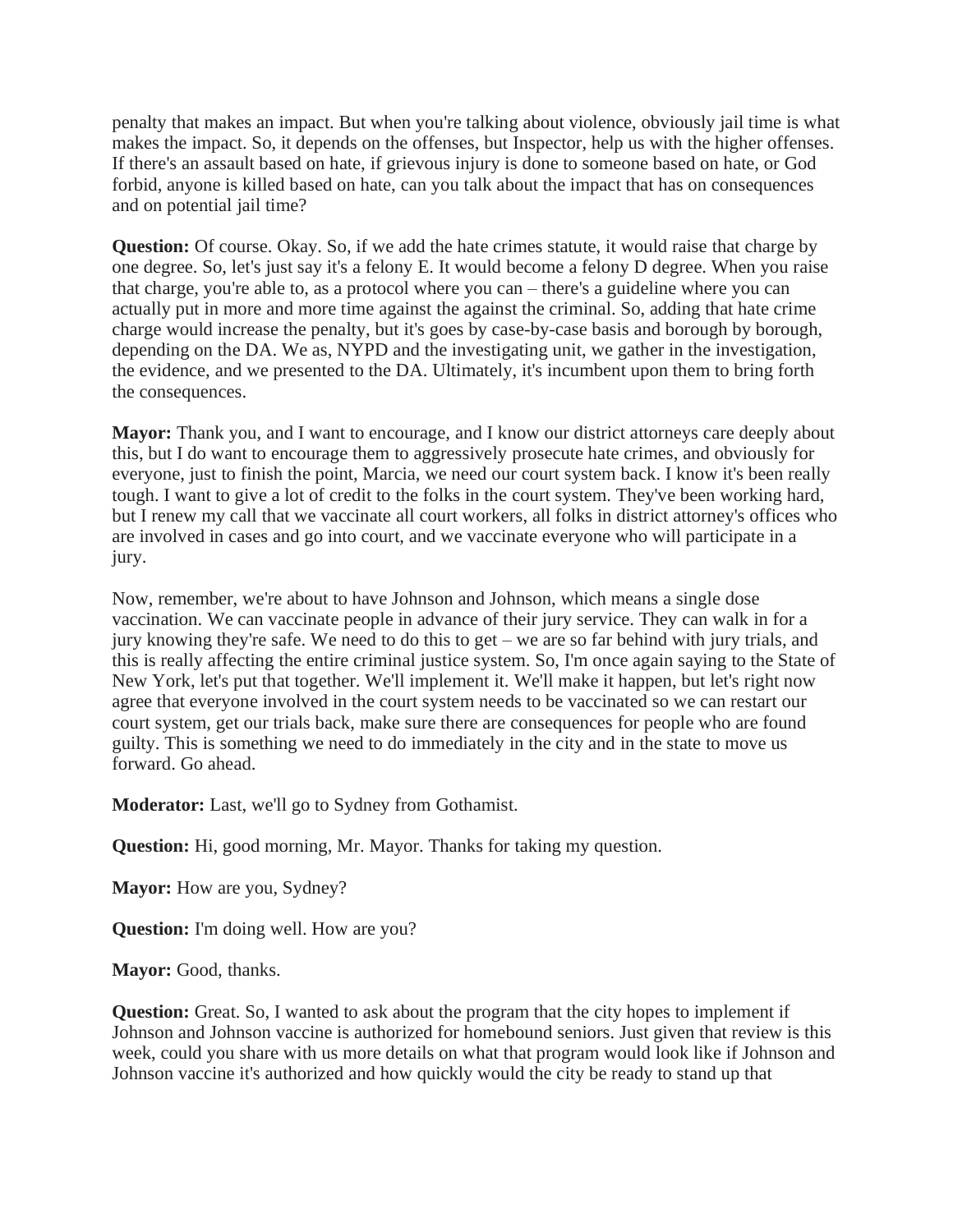penalty that makes an impact. But when you're talking about violence, obviously jail time is what makes the impact. So, it depends on the offenses, but Inspector, help us with the higher offenses. If there's an assault based on hate, if grievous injury is done to someone based on hate, or God forbid, anyone is killed based on hate, can you talk about the impact that has on consequences and on potential jail time?

**Question:** Of course. Okay. So, if we add the hate crimes statute, it would raise that charge by one degree. So, let's just say it's a felony E. It would become a felony D degree. When you raise that charge, you're able to, as a protocol where you can – there's a guideline where you can actually put in more and more time against the against the criminal. So, adding that hate crime charge would increase the penalty, but it's goes by case-by-case basis and borough by borough, depending on the DA. We as, NYPD and the investigating unit, we gather in the investigation, the evidence, and we presented to the DA. Ultimately, it's incumbent upon them to bring forth the consequences.

**Mayor:** Thank you, and I want to encourage, and I know our district attorneys care deeply about this, but I do want to encourage them to aggressively prosecute hate crimes, and obviously for everyone, just to finish the point, Marcia, we need our court system back. I know it's been really tough. I want to give a lot of credit to the folks in the court system. They've been working hard, but I renew my call that we vaccinate all court workers, all folks in district attorney's offices who are involved in cases and go into court, and we vaccinate everyone who will participate in a jury.

Now, remember, we're about to have Johnson and Johnson, which means a single dose vaccination. We can vaccinate people in advance of their jury service. They can walk in for a jury knowing they're safe. We need to do this to get – we are so far behind with jury trials, and this is really affecting the entire criminal justice system. So, I'm once again saying to the State of New York, let's put that together. We'll implement it. We'll make it happen, but let's right now agree that everyone involved in the court system needs to be vaccinated so we can restart our court system, get our trials back, make sure there are consequences for people who are found guilty. This is something we need to do immediately in the city and in the state to move us forward. Go ahead.

**Moderator:** Last, we'll go to Sydney from Gothamist.

**Question:** Hi, good morning, Mr. Mayor. Thanks for taking my question.

**Mayor:** How are you, Sydney?

**Question:** I'm doing well. How are you?

**Mayor:** Good, thanks.

**Question:** Great. So, I wanted to ask about the program that the city hopes to implement if Johnson and Johnson vaccine is authorized for homebound seniors. Just given that review is this week, could you share with us more details on what that program would look like if Johnson and Johnson vaccine it's authorized and how quickly would the city be ready to stand up that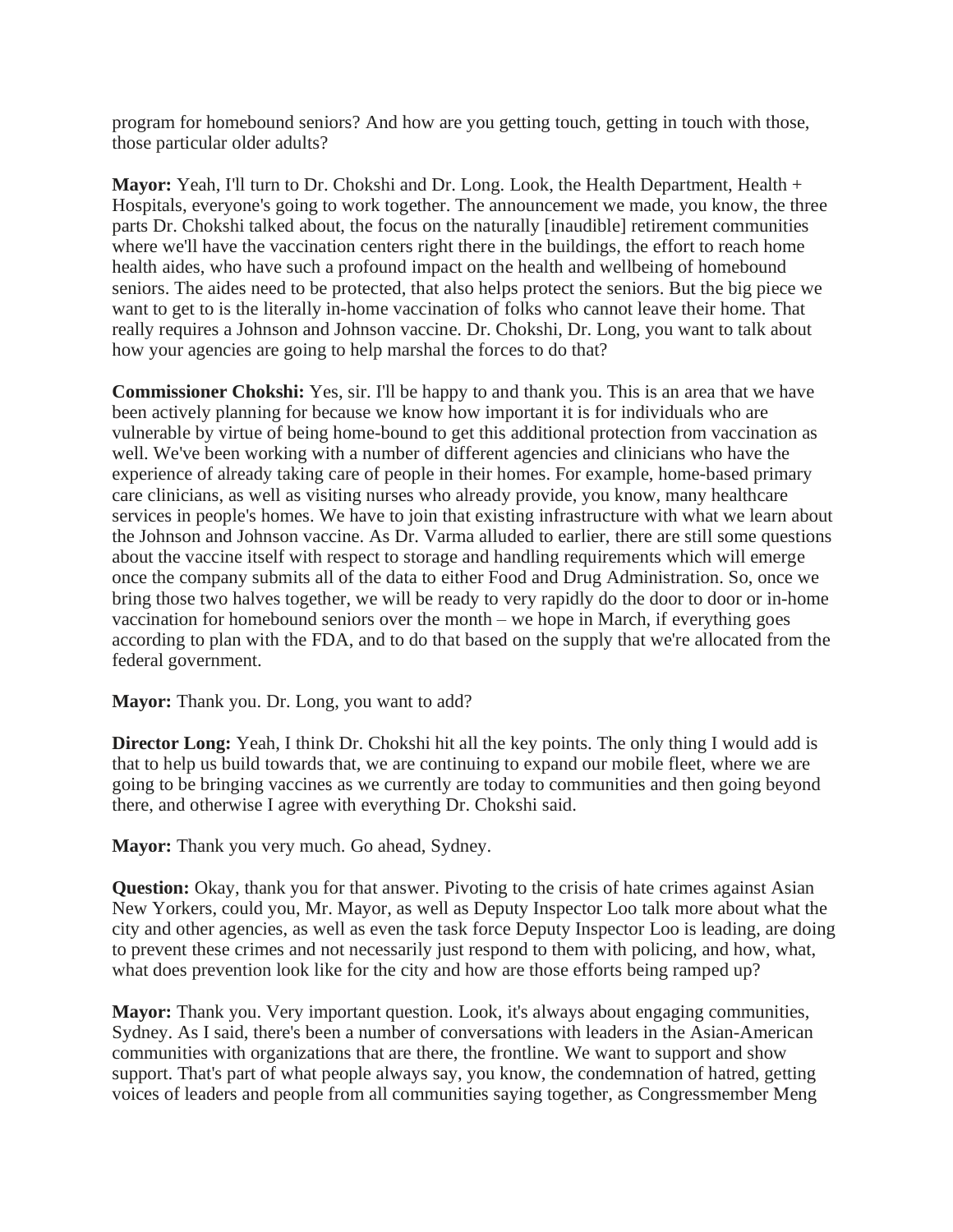program for homebound seniors? And how are you getting touch, getting in touch with those, those particular older adults?

**Mayor:** Yeah, I'll turn to Dr. Chokshi and Dr. Long. Look, the Health Department, Health + Hospitals, everyone's going to work together. The announcement we made, you know, the three parts Dr. Chokshi talked about, the focus on the naturally [inaudible] retirement communities where we'll have the vaccination centers right there in the buildings, the effort to reach home health aides, who have such a profound impact on the health and wellbeing of homebound seniors. The aides need to be protected, that also helps protect the seniors. But the big piece we want to get to is the literally in-home vaccination of folks who cannot leave their home. That really requires a Johnson and Johnson vaccine. Dr. Chokshi, Dr. Long, you want to talk about how your agencies are going to help marshal the forces to do that?

**Commissioner Chokshi:** Yes, sir. I'll be happy to and thank you. This is an area that we have been actively planning for because we know how important it is for individuals who are vulnerable by virtue of being home-bound to get this additional protection from vaccination as well. We've been working with a number of different agencies and clinicians who have the experience of already taking care of people in their homes. For example, home-based primary care clinicians, as well as visiting nurses who already provide, you know, many healthcare services in people's homes. We have to join that existing infrastructure with what we learn about the Johnson and Johnson vaccine. As Dr. Varma alluded to earlier, there are still some questions about the vaccine itself with respect to storage and handling requirements which will emerge once the company submits all of the data to either Food and Drug Administration. So, once we bring those two halves together, we will be ready to very rapidly do the door to door or in-home vaccination for homebound seniors over the month – we hope in March, if everything goes according to plan with the FDA, and to do that based on the supply that we're allocated from the federal government.

**Mayor:** Thank you. Dr. Long, you want to add?

**Director Long:** Yeah, I think Dr. Chokshi hit all the key points. The only thing I would add is that to help us build towards that, we are continuing to expand our mobile fleet, where we are going to be bringing vaccines as we currently are today to communities and then going beyond there, and otherwise I agree with everything Dr. Chokshi said.

**Mayor:** Thank you very much. Go ahead, Sydney.

**Question:** Okay, thank you for that answer. Pivoting to the crisis of hate crimes against Asian New Yorkers, could you, Mr. Mayor, as well as Deputy Inspector Loo talk more about what the city and other agencies, as well as even the task force Deputy Inspector Loo is leading, are doing to prevent these crimes and not necessarily just respond to them with policing, and how, what, what does prevention look like for the city and how are those efforts being ramped up?

**Mayor:** Thank you. Very important question. Look, it's always about engaging communities, Sydney. As I said, there's been a number of conversations with leaders in the Asian-American communities with organizations that are there, the frontline. We want to support and show support. That's part of what people always say, you know, the condemnation of hatred, getting voices of leaders and people from all communities saying together, as Congressmember Meng